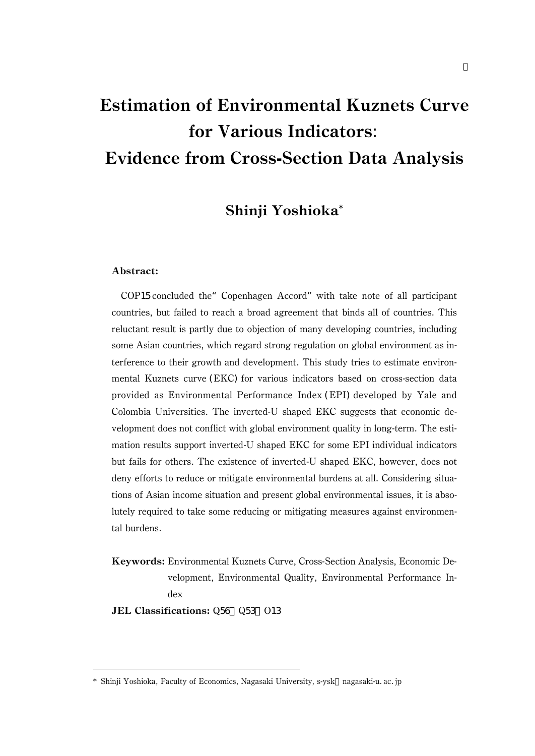# Shinji Yoshioka\*

#### Abstract:

COP15 concluded the"Copenhagen Accord"with take note of all participant countries, but failed to reach a broad agreement that binds all of countries. This reluctant result is partly due to objection of many developing countries, including some Asian countries, which regard strong regulation on global environment as interference to their growth and development. This study tries to estimate environmental Kuznets curve (EKC) for various indicators based on cross-section data provided as Environmental Performance Index (EPI) developed by Yale and Colombia Universities. The inverted-U shaped EKC suggests that economic development does not conflict with global environment quality in long-term. The estimation results support inverted-U shaped EKC for some EPI individual indicators but fails for others. The existence of inverted-U shaped EKC, however, does not deny efforts to reduce or mitigate environmental burdens at all. Considering situations of Asian income situation and present global environmental issues, it is absolutely required to take some reducing or mitigating measures against environmental burdens.

Keywords: Environmental Kuznets Curve, Cross-Section Analysis, Economic Development, Environmental Quality, Environmental Performance Index

JEL Classifications: Q56 Q53 013

<sup>\*</sup> Shinji Yoshioka, Faculty of Economics, Nagasaki University, s-ysk nagasaki-u.ac.jp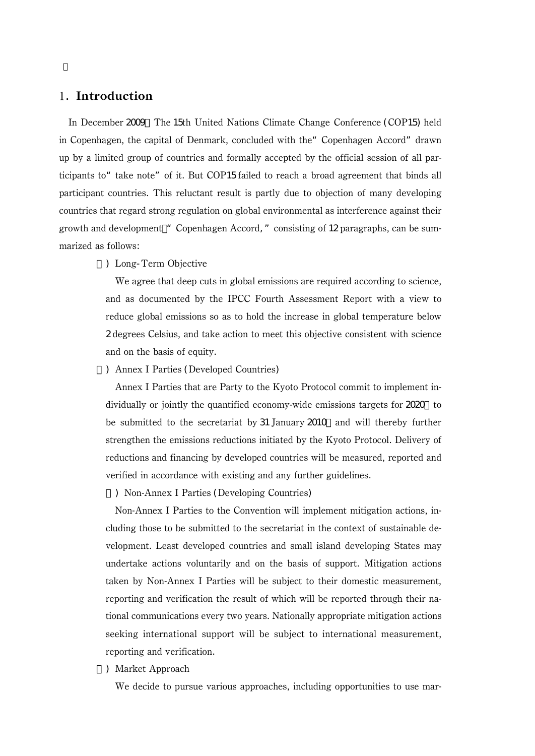## 1. Introduction

In December 2009, The 15th United Nations Climate Change Conference (COP15) held in Copenhagen, the capital of Denmark, concluded with the "Copenhagen Accord" drawn up by a limited group of countries and formally accepted by the official session of all participants to "take note" of it. But COP15 failed to reach a broad agreement that binds all participant countries. This reluctant result is partly due to objection of many developing countries that regard strong regulation on global environmental as interference against their growth and development "Copenhagen Accord," consisting of 12 paragraphs, can be summarized as follows:

#### 1) Long-Term Objective

We agree that deep cuts in global emissions are required according to science, and as documented by the IPCC Fourth Assessment Report with a view to reduce global emissions so as to hold the increase in global temperature below 2 degrees Celsius, and take action to meet this objective consistent with science and on the basis of equity.

#### 2) Annex I Parties (Developed Countries)

Annex I Parties that are Party to the Kyoto Protocol commit to implement individually or jointly the quantified economy-wide emissions targets for 2020 to be submitted to the secretariat by 31 January 2010 and will thereby further strengthen the emissions reductions initiated by the Kyoto Protocol. Delivery of reductions and financing by developed countries will be measured, reported and verified in accordance with existing and any further guidelines.

3) Non-Annex I Parties (Developing Countries)

Non-Annex I Parties to the Convention will implement mitigation actions, including those to be submitted to the secretariat in the context of sustainable development. Least developed countries and small island developing States may undertake actions voluntarily and on the basis of support. Mitigation actions taken by Non-Annex I Parties will be subject to their domestic measurement, reporting and verification the result of which will be reported through their national communications every two years. Nationally appropriate mitigation actions seeking international support will be subject to international measurement, reporting and verification.

#### 4) Market Approach

We decide to pursue various approaches, including opportunities to use mar-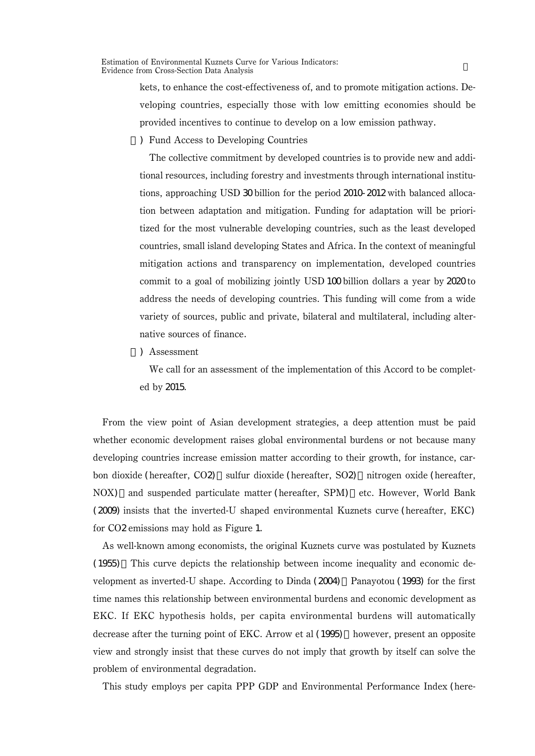> kets, to enhance the cost-effectiveness of, and to promote mitigation actions. Developing countries, especially those with low emitting economies should be provided incentives to continue to develop on a low emission pathway.

5) Fund Access to Developing Countries

The collective commitment by developed countries is to provide new and additional resources, including forestry and investments through international institutions, approaching USD 30 billion for the period 2010-2012 with balanced allocation between adaptation and mitigation. Funding for adaptation will be prioritized for the most vulnerable developing countries, such as the least developed countries, small island developing States and Africa. In the context of meaningful mitigation actions and transparency on implementation, developed countries commit to a goal of mobilizing jointly USD 100 billion dollars a year by 2020 to address the needs of developing countries. This funding will come from a wide variety of sources, public and private, bilateral and multilateral, including alternative sources of finance.

6) Assessment

We call for an assessment of the implementation of this Accord to be completed by 2015.

From the view point of Asian development strategies, a deep attention must be paid whether economic development raises global environmental burdens or not because many developing countries increase emission matter according to their growth, for instance, carbon dioxide (hereafter, CO2), sulfur dioxide (hereafter, SO2), nitrogen oxide (hereafter, NOX) and suspended particulate matter (hereafter, SPM) etc. However, World Bank (2009) insists that the inverted-U shaped environmental Kuznets curve (hereafter, EKC) for CO2 emissions may hold as Figure 1.

As well-known among economists, the original Kuznets curve was postulated by Kuznets (1955).This curve depicts the relationship between income inequality and economic development as inverted-U shape. According to Dinda  $(2004)$ , Panayotou (1993) for the first time names this relationship between environmental burdens and economic development as EKC. If EKC hypothesis holds, per capita environmental burdens will automatically decrease after the turning point of EKC. Arrow et al (1995) however, present an opposite view and strongly insist that these curves do not imply that growth by itself can solve the problem of environmental degradation.

This study employs per capita PPP GDP and Environmental Performance Index (here-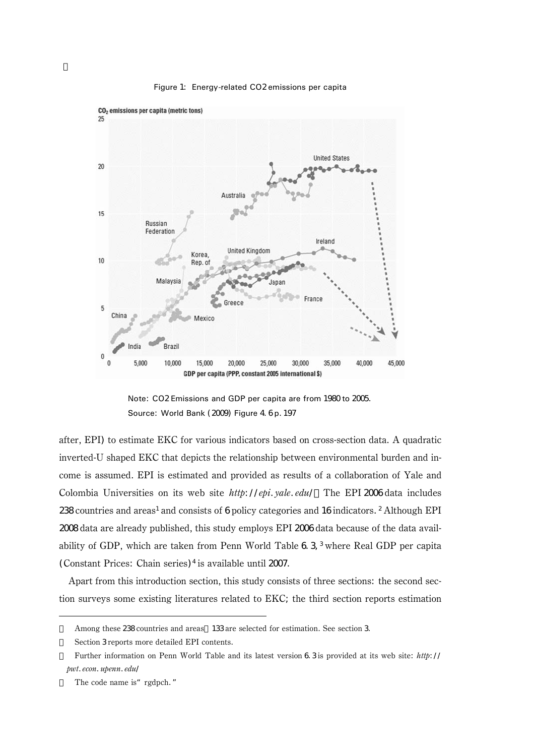

Figure 1: Energy-related CO2 emissions per capita

Note: CO2 Emissions and GDP per capita are from 1980 to 2005. Source: World Bank (2009) Figure 4. 6p. 197

after, EPI) to estimate EKC for various indicators based on cross-section data. A quadratic inverted-U shaped EKC that depicts the relationship between environmental burden and income is assumed. EPI is estimated and provided as results of a collaboration of Yale and Colombia Universities on its web site  $http://epi.yale.edu/$  The EPI 2006 data includes  $238$  countries and areas<sup>1</sup> and consists of 6 policy categories and 16 indicators.<sup>2</sup> Although EPI 2008 data are already published, this study employs EPI 2006 data because of the data availability of GDP, which are taken from Penn World Table 6.3.3 where Real GDP per capita (Constant Prices: Chain series)<sup>4</sup> is available until  $2007$ .

Apart from this introduction section, this study consists of three sections: the second section surveys some existing literatures related to EKC; the third section reports estimation

Among these 238 countries and areas 133 are selected for estimation. See section 3. Section 3 reports more detailed EPI contents.

Further information on Penn World Table and its latest version 6.3 is provided at its web site: http:// pwt. econ. upenn. edu/

The code name is "rgdpch."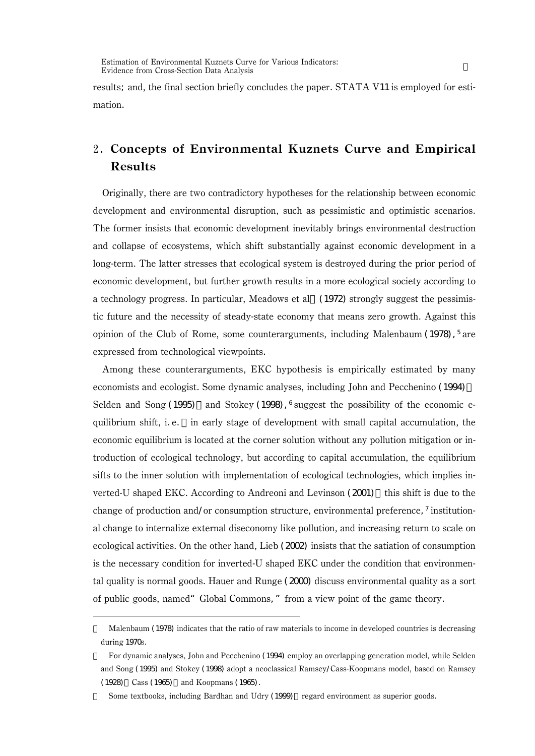results; and, the final section briefly concludes the paper. STATA V11 is employed for estimation.

## Concepts of Environmental Kuznets Curve and Empirical Results

Originally, there are two contradictory hypotheses for the relationship between economic development and environmental disruption, such as pessimistic and optimistic scenarios. The former insists that economic development inevitably brings environmental destruction and collapse of ecosystems, which shift substantially against economic development in a long-term. The latter stresses that ecological system is destroyed during the prior period of economic development, but further growth results in a more ecological society according to a technology progress. In particular, Meadows et al. (1972) strongly suggest the pessimistic future and the necessity of steady-state economy that means zero growth. Against this opinion of the Club of Rome, some counterarguments, including Malenbaum (1978),  $5$  are expressed from technological viewpoints.

Among these counterarguments, EKC hypothesis is empirically estimated by many economists and ecologist. Some dynamic analyses, including John and Pecchenino (1994), Selden and Song (1995), and Stokey (1998),  $6$  suggest the possibility of the economic equilibrium shift, i.e., in early stage of development with small capital accumulation, the economic equilibrium is located at the corner solution without any pollution mitigation or introduction of ecological technology, but according to capital accumulation, the equilibrium sifts to the inner solution with implementation of ecological technologies, which implies inverted-U shaped EKC. According to Andreoni and Levinson  $(2001)$  this shift is due to the change of production and/or consumption structure, environmental preference,  $\frac{7}{1}$  institutional change to internalize external diseconomy like pollution, and increasing return to scale on ecological activities. On the other hand, Lieb (2002) insists that the satiation of consumption is the necessary condition for inverted-U shaped EKC under the condition that environmental quality is normal goods. Hauer and Runge  $(2000)$  discuss environmental quality as a sort of public goods, named"Global Commons,"from a view point of the game theory.

Malenbaum (1978) indicates that the ratio of raw materials to income in developed countries is decreasing during 1970s.

For dynamic analyses, John and Pecchenino (1994) employ an overlapping generation model, while Selden and Song (1995) and Stokey (1998) adopt a neoclassical Ramsey/Cass-Koopmans model, based on Ramsey (1928) Cass (1965) and Koopmans (1965).

Some textbooks, including Bardhan and Udry (1999) regard environment as superior goods.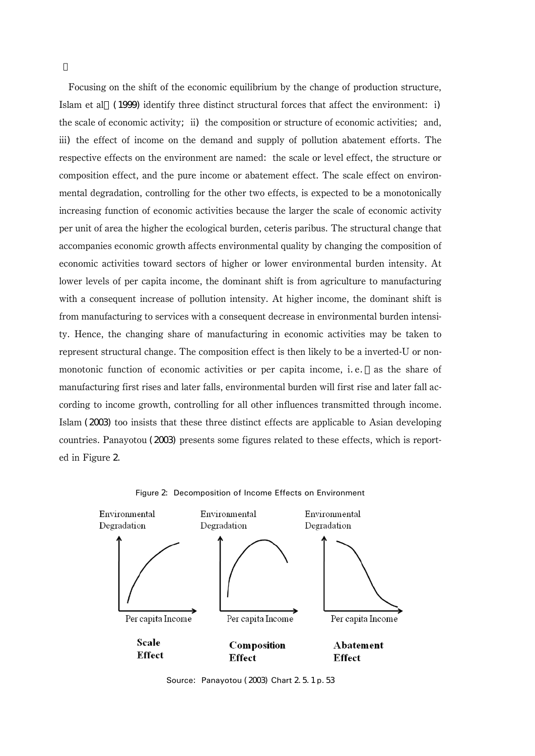Focusing on the shift of the economic equilibrium by the change of production structure, Islam et al. (1999) identify three distinct structural forces that affect the environment: i) the scale of economic activity; ii) the composition or structure of economic activities; and, iii) the effect of income on the demand and supply of pollution abatement efforts. The respective effects on the environment are named: the scale or level effect, the structure or composition effect, and the pure income or abatement effect. The scale effect on environmental degradation, controlling for the other two effects, is expected to be a monotonically increasing function of economic activities because the larger the scale of economic activity per unit of area the higher the ecological burden, ceteris paribus. The structural change that accompanies economic growth affects environmental quality by changing the composition of economic activities toward sectors of higher or lower environmental burden intensity. At lower levels of per capita income, the dominant shift is from agriculture to manufacturing with a consequent increase of pollution intensity. At higher income, the dominant shift is from manufacturing to services with a consequent decrease in environmental burden intensity. Hence, the changing share of manufacturing in economic activities may be taken to represent structural change. The composition effect is then likely to be a inverted-U or nonmonotonic function of economic activities or per capita income, i.e. as the share of manufacturing first rises and later falls, environmental burden will first rise and later fall according to income growth, controlling for all other influences transmitted through income. Islam (2003) too insists that these three distinct effects are applicable to Asian developing countries. Panayotou (2003) presents some figures related to these effects, which is reported in Figure 2.



Figure 2: Decomposition of Income Effects on Environment

Source: Panayotou (2003) Chart 2 5.1 p.53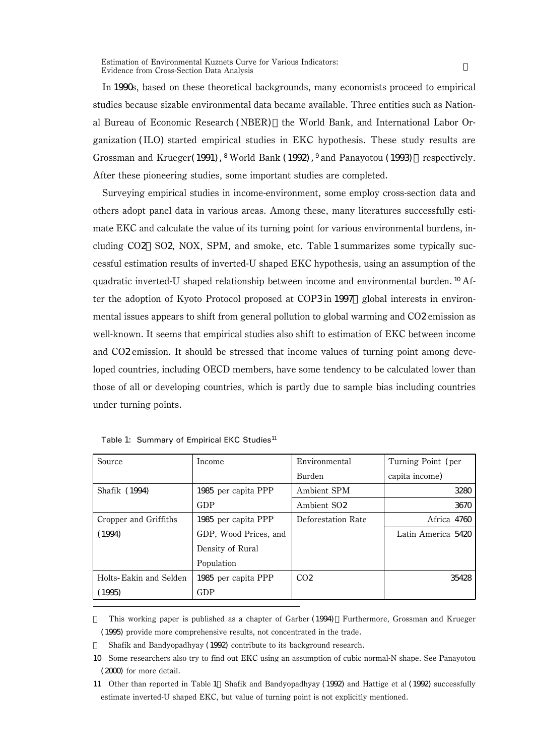In 1990s, based on these theoretical backgrounds, many economists proceed to empirical studies because sizable environmental data became available. Three entities such as National Bureau of Economic Research (NBER) the World Bank, and International Labor Organization (ILO) started empirical studies in EKC hypothesis. These study results are Grossman and Krueger(1991),  $8$  World Bank (1992),  $9$  and Panayotou (1993) respectively. After these pioneering studies, some important studies are completed.

Surveying empirical studies in income-environment, some employ cross-section data and others adopt panel data in various areas. Among these, many literatures successfully estimate EKC and calculate the value of its turning point for various environmental burdens, including CO2, SO2, NOX, SPM, and smoke, etc. Table 1 summarizes some typically successful estimation results of inverted-U shaped EKC hypothesis, using an assumption of the quadratic inverted-U shaped relationship between income and environmental burden.<sup>10</sup> After the adoption of Kyoto Protocol proposed at COP3 in 1997, global interests in environmental issues appears to shift from general pollution to global warming and CO2 emission as well-known. It seems that empirical studies also shift to estimation of EKC between income and CO2 emission. It should be stressed that income values of turning point among developed countries, including OECD members, have some tendency to be calculated lower than those of all or developing countries, which is partly due to sample bias including countries under turning points.

| Source                 | Income                | Environmental           | Turning Point (per |
|------------------------|-----------------------|-------------------------|--------------------|
|                        |                       | <b>Burden</b>           | capita income)     |
| Shafik (1994)          | 1985 per capita PPP   | Ambient SPM             | 3280               |
|                        | GDP                   | Ambient SO <sub>2</sub> | 3670               |
| Cropper and Griffiths  | 1985 per capita PPP   | Deforestation Rate      | Africa 4760        |
| (1994)                 | GDP, Wood Prices, and |                         | Latin America 5420 |
|                        | Density of Rural      |                         |                    |
|                        | Population            |                         |                    |
| Holts-Eakin and Selden | 1985 per capita PPP   | CO <sub>2</sub>         | 35428              |
| 1995                   | GDP                   |                         |                    |

| Table 1: Summary of Empirical EKC Studies <sup>11</sup> |  |  |  |
|---------------------------------------------------------|--|--|--|
|                                                         |  |  |  |

This working paper is published as a chapter of Garber (1994) Furthermore, Grossman and Krueger (1995) provide more comprehensive results, not concentrated in the trade.

Shafik and Bandyopadhyay (1992) contribute to its background research.

11 Other than reported in Table 1 Shafik and Bandyopadhyay (1992) and Hattige et al (1992) successfully estimate inverted-U shaped EKC, but value of turning point is not explicitly mentioned.

<sup>10</sup> Some researchers also try to find out EKC using an assumption of cubic normal-N shape. See Panayotou (2000) for more detail.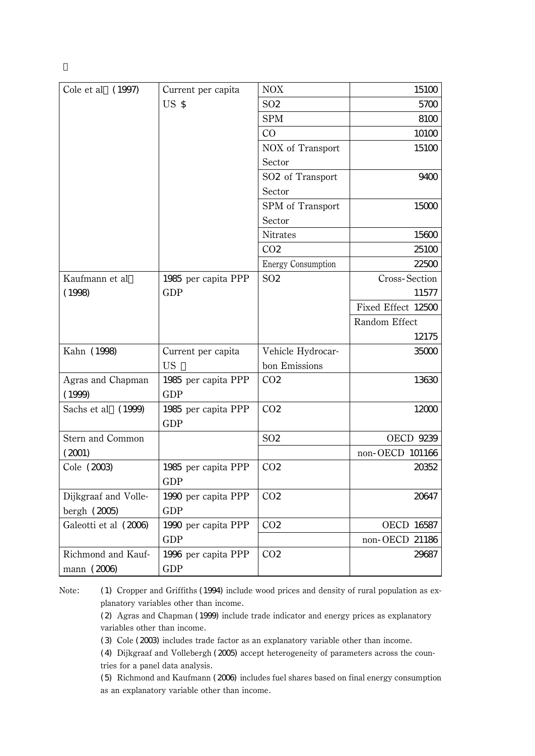| Cole et al<br>(1997)  | Current per capita  | <b>NOX</b>                | 15100              |
|-----------------------|---------------------|---------------------------|--------------------|
|                       | US <sub>S</sub>     | SO <sub>2</sub>           | 5700               |
|                       |                     | <b>SPM</b>                | 8100               |
|                       |                     | CO                        | 10100              |
|                       |                     | NOX of Transport          | 15100              |
|                       |                     | Sector                    |                    |
|                       |                     | SO2 of Transport          | 9400               |
|                       |                     | Sector                    |                    |
|                       |                     | SPM of Transport          | 15000              |
|                       |                     | Sector                    |                    |
|                       |                     | <b>Nitrates</b>           | 15600              |
|                       |                     | CO <sub>2</sub>           | 25100              |
|                       |                     | <b>Energy Consumption</b> | 22500              |
| Kaufmann et al        | 1985 per capita PPP | SO <sub>2</sub>           | Cross-Section      |
| (1998)                | <b>GDP</b>          |                           | 11577              |
|                       |                     |                           | Fixed Effect 12500 |
|                       |                     |                           | Random Effect      |
|                       |                     |                           | 12175              |
| Kahn (1998)           | Current per capita  | Vehicle Hydrocar-         | 35000              |
|                       | <b>US</b>           | bon Emissions             |                    |
| Agras and Chapman     | 1985 per capita PPP | CO <sub>2</sub>           | 13630              |
| (1999)                | <b>GDP</b>          |                           |                    |
| Sachs et al<br>(1999) | 1985 per capita PPP | CO <sub>2</sub>           | 12000              |
|                       | <b>GDP</b>          |                           |                    |
| Stern and Common      |                     | SO <sub>2</sub>           | <b>OECD 9239</b>   |
| (2001)                |                     |                           | non-OECD 101166    |
| Cole (2003)           | 1985 per capita PPP | CO <sub>2</sub>           | 20352              |
|                       | GDP                 |                           |                    |
| Dijkgraaf and Volle-  | 1990 per capita PPP | CO <sub>2</sub>           | 20647              |
| bergh $(2005)$        | <b>GDP</b>          |                           |                    |
| Galeotti et al (2006) | 1990 per capita PPP | CO <sub>2</sub>           | OECD 16587         |
|                       | <b>GDP</b>          |                           | non-OECD 21186     |
| Richmond and Kauf-    | 1996 per capita PPP | CO <sub>2</sub>           | 29687              |
| mann (2006)           | <b>GDP</b>          |                           |                    |

Note: (1) Cropper and Griffiths (1994) include wood prices and density of rural population as explanatory variables other than income.

(2) Agras and Chapman (1999) include trade indicator and energy prices as explanatory variables other than income.

(3) Cole (2003) includes trade factor as an explanatory variable other than income.

(4) Dijkgraaf and Vollebergh (2005) accept heterogeneity of parameters across the countries for a panel data analysis.

(5) Richmond and Kaufmann (2006) includes fuel shares based on final energy consumption as an explanatory variable other than income.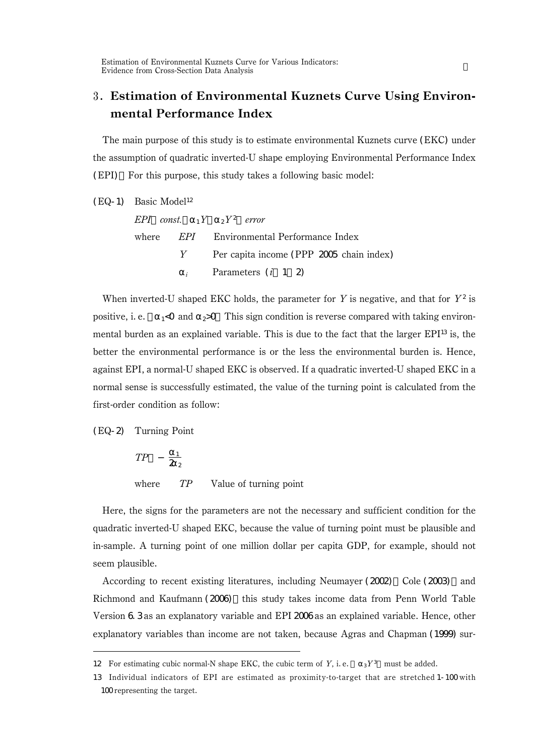## Estimation of Environmental Kuznets Curve Using Environmental Performance Index

The main purpose of this study is to estimate environmental Kuznets curve (EKC) under the assumption of quadratic inverted-U shape employing Environmental Performance Index (EPI). For this purpose, this study takes a following basic model:

|  | EPI const. $\frac{1}{1}Y \rightarrow Y^2$ error  |
|--|--------------------------------------------------|
|  | where <i>EPI</i> Environmental Performance Index |
|  | Y Per capita income (PPP 2005 chain index)       |
|  | <i>i</i> Parameters $(i \ 1 \ 2)$                |

When inverted-U shaped EKC holds, the parameter for Y is negative, and that for  $Y^2$  is positive, i. e.  $\sim$  1<0 and  $\approx$  2>0. This sign condition is reverse compared with taking environmental burden as an explained variable. This is due to the fact that the larger  $EPI^{13}$  is, the better the environmental performance is or the less the environmental burden is. Hence, against EPI, a normal-U shaped EKC is observed. If a quadratic inverted-U shaped EKC in a normal sense is successfully estimated, the value of the turning point is calculated from the first-order condition as follow:

(EQ-2) Turning Point

$$
TP \frac{1}{2} \frac{1}{2}
$$
  
where *TP* Value of turning point

Here, the signs for the parameters are not the necessary and sufficient condition for the quadratic inverted-U shaped EKC, because the value of turning point must be plausible and in-sample. A turning point of one million dollar per capita GDP, for example, should not seem plausible.

According to recent existing literatures, including Neumayer (2002) Cole (2003) and Richmond and Kaufmann (2006) this study takes income data from Penn World Table Version 6.3 as an explanatory variable and EPI 2006 as an explained variable. Hence, other explanatory variables than income are not taken, because Agras and Chapman (1999) sur-

<sup>12</sup> For estimating cubic normal-N shape EKC, the cubic term of Y, i.e.  $3Y^3$  must be added.

<sup>13</sup> Individual indicators of EPI are estimated as proximity-to-target that are stretched 1-100 with 100 representing the target.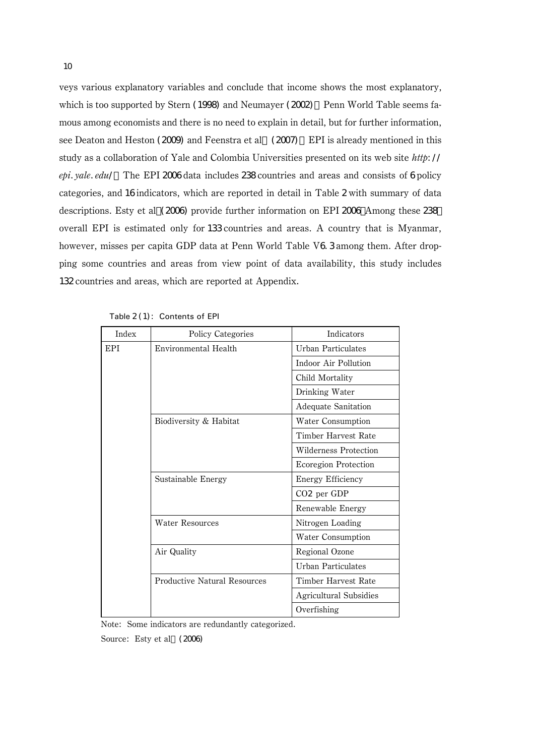veys various explanatory variables and conclude that income shows the most explanatory, which is too supported by Stern (1998) and Neumayer (2002) Penn World Table seems famous among economists and there is no need to explain in detail, but for further information, see Deaton and Heston (2009) and Feenstra et al. (2007) EPI is already mentioned in this study as a collaboration of Yale and Colombia Universities presented on its web site http://  $epi. yale. edu/$  The EPI 2006 data includes 238 countries and areas and consists of 6 policy categories, and 16 indicators, which are reported in detail in Table 2 with summary of data descriptions. Esty et al (2006) provide further information on EPI 2006 Among these 238 overall EPI is estimated only for 133 countries and areas. A country that is Myanmar, however, misses per capita GDP data at Penn World Table V6.3 among them. After dropping some countries and areas from view point of data availability, this study includes 132 countries and areas, which are reported at Appendix.

| Index | <b>Policy Categories</b>            | Indicators                  |
|-------|-------------------------------------|-----------------------------|
| EPI   | Environmental Health                | Urban Particulates          |
|       |                                     | Indoor Air Pollution        |
|       |                                     | Child Mortality             |
|       |                                     | Drinking Water              |
|       |                                     | <b>Adequate Sanitation</b>  |
|       | Biodiversity & Habitat              | Water Consumption           |
|       |                                     | Timber Harvest Rate         |
|       |                                     | Wilderness Protection       |
|       |                                     | <b>Ecoregion Protection</b> |
|       | Sustainable Energy                  | Energy Efficiency           |
|       |                                     | $CO2$ per GDP               |
|       |                                     | Renewable Energy            |
|       | <b>Water Resources</b>              | Nitrogen Loading            |
|       |                                     | <b>Water Consumption</b>    |
|       | Air Quality                         | Regional Ozone              |
|       |                                     | Urban Particulates          |
|       | <b>Productive Natural Resources</b> | Timber Harvest Rate         |
|       |                                     | Agricultural Subsidies      |
|       |                                     | Overfishing                 |

Table 2(1): Contents of EPI

Note: Some indicators are redundantly categorized.

Source: Esty et al. (2006)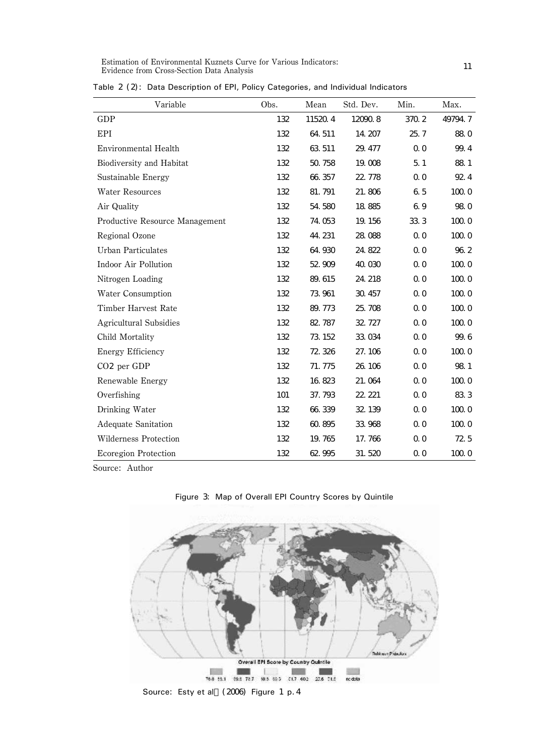| Variable                       | Obs. | Mean    | Std. Dev. | Min.           | Max.    |
|--------------------------------|------|---------|-----------|----------------|---------|
| GDP                            | 132  | 11520.4 | 120908    | 370.2          | 49794.7 |
| EPI                            | 132  | 64.511  | 14.207    | 25.7           | 88.0    |
| Environmental Health           | 132  | 63 511  | 29.477    | 0 <sub>0</sub> | 99.4    |
| Biodiversity and Habitat       | 132  | 50.758  | 19,008    | 5.1            | 88.1    |
| Sustainable Energy             | 132  | 66 357  | 22, 778   | 0 <sub>0</sub> | 92.4    |
| <b>Water Resources</b>         | 132  | 81.791  | 21.806    | 65             | 100.0   |
| Air Quality                    | 132  | 54.580  | 18 8 85   | 69             | 98.0    |
| Productive Resource Management | 132  | 74.053  | 19.156    | 333            | 100.0   |
| Regional Ozone                 | 132  | 44.231  | 28.088    | 0 <sub>0</sub> | 100.0   |
| <b>Urban Particulates</b>      | 132  | 64.930  | 24.822    | 0 <sub>0</sub> | 96.2    |
| Indoor Air Pollution           | 132  | 52.909  | 40.030    | 0 <sub>0</sub> | 100.0   |
| Nitrogen Loading               | 132  | 89.615  | 24, 218   | 0 <sub>0</sub> | 100.0   |
| <b>Water Consumption</b>       | 132  | 73 961  | 30, 457   | 0 <sub>0</sub> | 100.0   |
| Timber Harvest Rate            | 132  | 89.773  | 25.708    | 0 <sub>0</sub> | 100.0   |
| <b>Agricultural Subsidies</b>  | 132  | 82.787  | 32, 727   | 0 <sub>0</sub> | 100.0   |
| Child Mortality                | 132  | 73, 152 | 33.034    | 0 <sub>0</sub> | 99.6    |
| Energy Efficiency              | 132  | 72.326  | 27.106    | 0 <sub>0</sub> | 100.0   |
| $CO2$ per GDP                  | 132  | 71.775  | 26, 106   | 0 <sub>0</sub> | 98.1    |
| Renewable Energy               | 132  | 16 823  | 21.064    | 0 <sub>0</sub> | 100.0   |
| Overfishing                    | 101  | 37.793  | 22, 221   | 0 <sub>0</sub> | 833     |
| Drinking Water                 | 132  | 66 339  | 32, 139   | 0 <sub>0</sub> | 100.0   |
| <b>Adequate Sanitation</b>     | 132  | 60.895  | 33.968    | 0 <sub>0</sub> | 100.0   |
| Wilderness Protection          | 132  | 19.765  | 17.766    | 0 <sub>0</sub> | 72.5    |
| <b>Ecoregion Protection</b>    | 132  | 62 995  | 31.520    | 0 <sub>0</sub> | 100.0   |

Table 2 (2): Data Description of EPI, Policy Categories, and Individual Indicators

Source: Author



Figure 3: Map of Overall EPI Country Scores by Quintile

Source: Esty et al. (2006) Figure 1 p. 4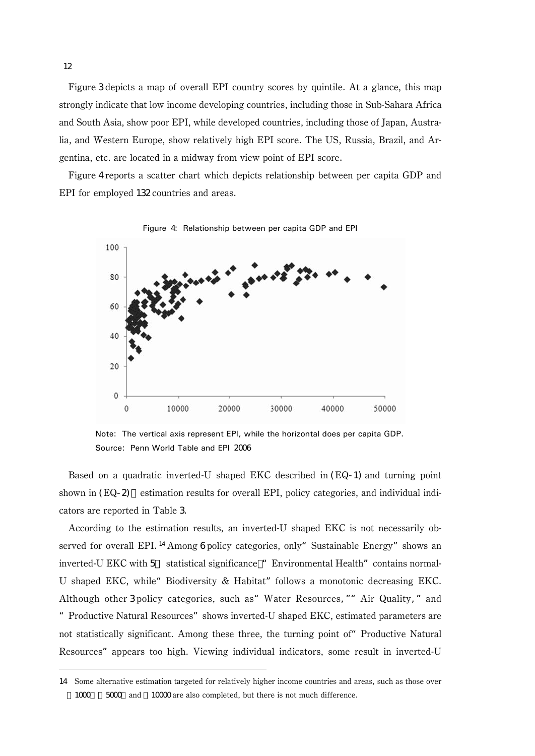Figure 3 depicts a map of overall EPI country scores by quintile. At a glance, this map strongly indicate that low income developing countries, including those in Sub-Sahara Africa and South Asia, show poor EPI, while developed countries, including those of Japan, Australia, and Western Europe, show relatively high EPI score. The US, Russia, Brazil, and Argentina, etc. are located in a midway from view point of EPI score.

Figure 4 reports a scatter chart which depicts relationship between per capita GDP and EPI for employed 132 countries and areas.



Note: The vertical axis represent EPI, while the horizontal does per capita GDP. Source: Penn World Table and EPI 2006

Based on a quadratic inverted-U shaped EKC described in (EQ-1) and turning point shown in  $(EQ-2)$  estimation results for overall EPI, policy categories, and individual indicators are reported in Table 3.

According to the estimation results, an inverted-U shaped EKC is not necessarily observed for overall EPI.<sup>14</sup> Among 6 policy categories, only "Sustainable Energy" shows an inverted-U EKC with 5 statistical significance "Environmental Health" contains normal-U shaped EKC, while "Biodiversity  $\&$  Habitat" follows a monotonic decreasing EKC. Although other 3 policy categories, such as"Water Resources,""Air Quality,"and "Productive Natural Resources"shows inverted-U shaped EKC, estimated parameters are not statistically significant. Among these three, the turning point of"Productive Natural Resources"appears too high. Viewing individual indicators, some result in inverted-U

<sup>14</sup> Some alternative estimation targeted for relatively higher income countries and areas, such as those over 1000 5000 and 10000 are also completed, but there is not much difference.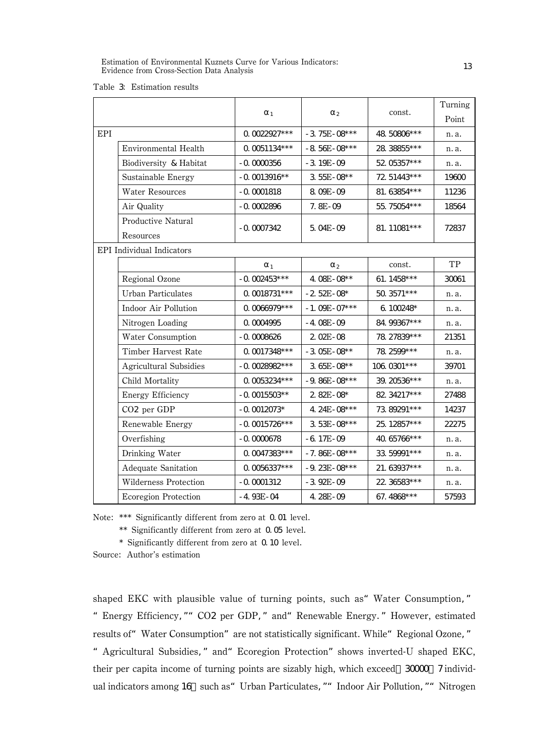Estimation of Environmental Kuznets Curve for Various Indicators: Estimation of Environmental Kuznets Curve for Various Indicators:<br>Evidence from Cross-Section Data Analysis

|  |  | Table 3 Estimation results |  |
|--|--|----------------------------|--|
|--|--|----------------------------|--|

|     |                                  |                 |                  | const.       | Turning |
|-----|----------------------------------|-----------------|------------------|--------------|---------|
|     |                                  | $\mathbf{1}$    | $\mathbf{2}$     |              | Point   |
| EPI |                                  | 0.0022927***    | $-3$ 75E - 08*** | 48.50806***  | n. a.   |
|     | Environmental Health             | 0.0051134***    | $-8$ 56E-08***   | 28.38855***  | n. a.   |
|     | Biodiversity & Habitat           | $-0.0000356$    | $-3.19E - 09$    | 52.05357***  | n. a.   |
|     | Sustainable Energy               | $-0.0013916**$  | 3 55E-08**       | 72.51443***  | 19600   |
|     | <b>Water Resources</b>           | $-0.0001818$    | 8.09E-09         | 81.63854***  | 11236   |
|     | Air Quality                      | $-0.0002896$    | $7.8E-0.9$       | 55.75054***  | 18564   |
|     | Productive Natural               |                 |                  |              |         |
|     | Resources                        | $-0.0007342$    | 5.04E-09         | 81. 11081*** | 72837   |
|     | <b>EPI</b> Individual Indicators |                 |                  |              |         |
|     |                                  | $\mathbf{1}$    | $\overline{c}$   | const.       | TP      |
|     | Regional Ozone                   | $-0.002453***$  | 4.08E-08**       | 61. 1458***  | 30061   |
|     | <b>Urban Particulates</b>        | 0.0018731***    | $-2.52E-08*$     | 50.3571***   | n. a.   |
|     | Indoor Air Pollution             | 0.0066979 ***   | $-1.09E - 07***$ | 6.100248*    | n. a.   |
|     | Nitrogen Loading                 | 0.0004995       | $-4.08E - 09$    | 84.99367***  | n. a.   |
|     | <b>Water Consumption</b>         | $-0.0008626$    | 2.02E-08         | 78.27839***  | 21351   |
|     | Timber Harvest Rate              | 0.0017348 ***   | $-3.05E - 08**$  | 78.2599***   | n. a.   |
|     | <b>Agricultural Subsidies</b>    | $-0.0028982***$ | $3.65E-08**$     | 106.0301***  | 39701   |
|     | Child Mortality                  | 0.0053234***    | $-9.86E - 08***$ | 39. 20536*** | n. a.   |
|     | Energy Efficiency                | $-0.0015503**$  | $2.82E - 08*$    | 82.34217***  | 27488   |
|     | CO <sub>2</sub> per GDP          | $-0.0012073*$   | 4.24E-08***      | 73.89291***  | 14237   |
|     | Renewable Energy                 | $-0.0015726***$ | 3 53E-08***      | 25.12857***  | 22275   |
|     | Overfishing                      | $-0.0000678$    | $-6.17E - 09$    | 40.65766***  | n. a.   |
|     | Drinking Water                   | 0.0047383***    | $-7.86E - 08***$ | 33.59991 *** | n. a.   |
|     | <b>Adequate Sanitation</b>       | 0.0056337***    | $-9.23E - 08***$ | 21.63937***  | n. a.   |
|     | Wilderness Protection            | $-0.0001312$    | $-3.92E - 0.9$   | 22. 36583*** | n. a.   |
|     | <b>Ecoregion Protection</b>      | $-4.93E - 04$   | 4.28E-09         | 67.4868***   | 57593   |

Note: \*\*\* Significantly different from zero at 0.01 level.

\*\* Significantly different from zero at 0.05 level.

\* Significantly different from zero at 0.10 level.

Source: Author's estimation

shaped EKC with plausible value of turning points, such as" Water Consumption," "Energy Efficiency,""CO2 per GDP,"and"Renewable Energy."However, estimated

results of "Water Consumption" are not statistically significant. While "Regional Ozone, "

"Agricultural Subsidies,"and"Ecoregion Protection"shows inverted-U shaped EKC, their per capita income of turning points are sizably high, which exceed 30000 7 individual indicators among 16 such as" Urban Particulates, "" Indoor Air Pollution, "" Nitrogen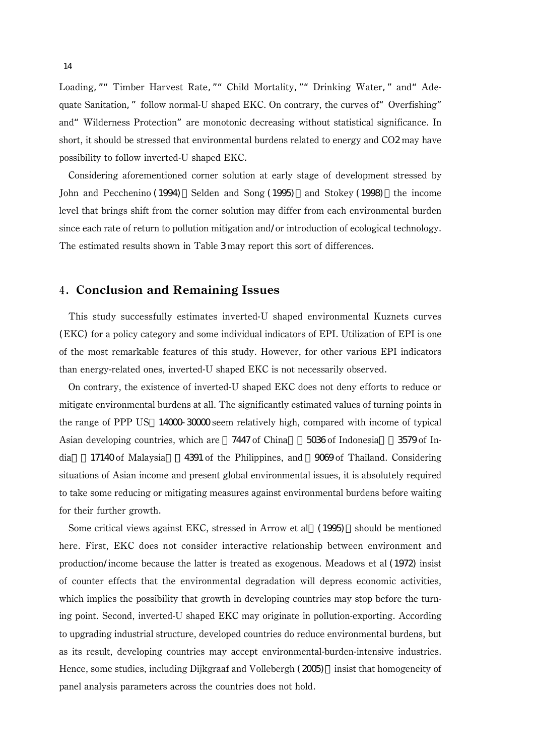Loading, "" Timber Harvest Rate, "" Child Mortality, "" Drinking Water, " and" Adequate Sanitation," follow normal-U shaped EKC. On contrary, the curves of "Overfishing" and"Wilderness Protection"are monotonic decreasing without statistical significance. In short, it should be stressed that environmental burdens related to energy and CO2 may have possibility to follow inverted-U shaped EKC.

Considering aforementioned corner solution at early stage of development stressed by John and Pecchenino (1994), Selden and Song (1995), and Stokey (1998), the income level that brings shift from the corner solution may differ from each environmental burden since each rate of return to pollution mitigation and/or introduction of ecological technology. The estimated results shown in Table 3 may report this sort of differences.

## Conclusion and Remaining Issues

This study successfully estimates inverted-U shaped environmental Kuznets curves (EKC) for a policy category and some individual indicators of EPI. Utilization of EPI is one of the most remarkable features of this study. However, for other various EPI indicators than energy-related ones, inverted-U shaped EKC is not necessarily observed.

On contrary, the existence of inverted-U shaped EKC does not deny efforts to reduce or mitigate environmental burdens at all. The significantly estimated values of turning points in the range of PPP US 14000-30000 seem relatively high, compared with income of typical Asian developing countries, which are 7447 of China 5036 of Indonesia 3579 of India,\$17140 of Malaysia,\$4391 of the Philippines, and \$9069 of Thailand. Considering situations of Asian income and present global environmental issues, it is absolutely required to take some reducing or mitigating measures against environmental burdens before waiting for their further growth.

Some critical views against EKC, stressed in Arrow et al. (1995) should be mentioned here. First, EKC does not consider interactive relationship between environment and production/income because the latter is treated as exogenous. Meadows et al (1972) insist of counter effects that the environmental degradation will depress economic activities, which implies the possibility that growth in developing countries may stop before the turning point. Second, inverted-U shaped EKC may originate in pollution-exporting. According to upgrading industrial structure, developed countries do reduce environmental burdens, but as its result, developing countries may accept environmental-burden-intensive industries. Hence, some studies, including Dijkgraaf and Vollebergh (2005) insist that homogeneity of panel analysis parameters across the countries does not hold.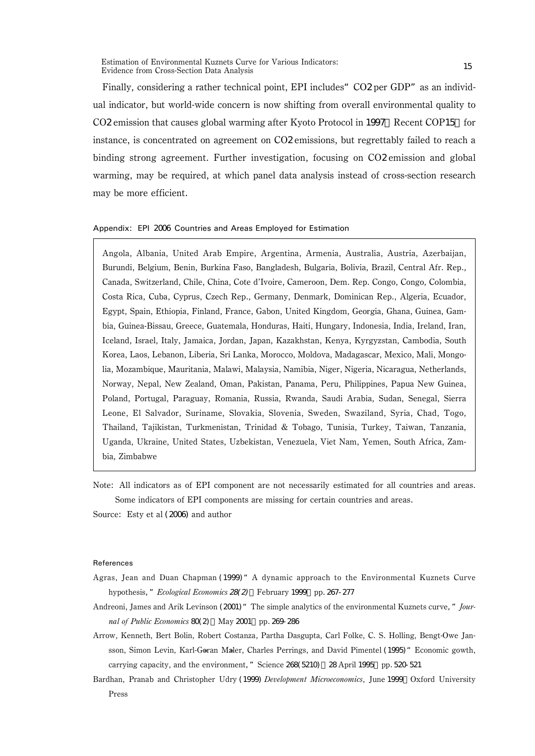Finally, considering a rather technical point, EPI includes" CO2 per GDP" as an individual indicator, but world-wide concern is now shifting from overall environmental quality to CO2 emission that causes global warming after Kyoto Protocol in 1997. Recent COP15 for instance, is concentrated on agreement on CO2 emissions, but regrettably failed to reach a binding strong agreement. Further investigation, focusing on CO2 emission and global warming, may be required, at which panel data analysis instead of cross-section research may be more efficient.

#### Appendix: EPI 2006 Countries and Areas Employed for Estimation

Angola, Albania, United Arab Empire, Argentina, Armenia, Australia, Austria, Azerbaijan, Burundi, Belgium, Benin, Burkina Faso, Bangladesh, Bulgaria, Bolivia, Brazil, Central Afr. Rep., Canada, Switzerland, Chile, China, Cote d'Ivoire, Cameroon, Dem. Rep. Congo, Congo, Colombia, Costa Rica, Cuba, Cyprus, Czech Rep., Germany, Denmark, Dominican Rep., Algeria, Ecuador, Egypt, Spain, Ethiopia, Finland, France, Gabon, United Kingdom, Georgia, Ghana, Guinea, Gambia, Guinea-Bissau, Greece, Guatemala, Honduras, Haiti, Hungary, Indonesia, India, Ireland, Iran, Iceland, Israel, Italy, Jamaica, Jordan, Japan, Kazakhstan, Kenya, Kyrgyzstan, Cambodia, South Korea, Laos, Lebanon, Liberia, Sri Lanka, Morocco, Moldova, Madagascar, Mexico, Mali, Mongolia, Mozambique, Mauritania, Malawi, Malaysia, Namibia, Niger, Nigeria, Nicaragua, Netherlands, Norway, Nepal, New Zealand, Oman, Pakistan, Panama, Peru, Philippines, Papua New Guinea, Poland, Portugal, Paraguay, Romania, Russia, Rwanda, Saudi Arabia, Sudan, Senegal, Sierra Leone, El Salvador, Suriname, Slovakia, Slovenia, Sweden, Swaziland, Syria, Chad, Togo, Thailand, Tajikistan, Turkmenistan, Trinidad & Tobago, Tunisia, Turkey, Taiwan, Tanzania, Uganda, Ukraine, United States, Uzbekistan, Venezuela, Viet Nam, Yemen, South Africa, Zambia, Zimbabwe

Note: All indicators as of EPI component are not necessarily estimated for all countries and areas. Some indicators of EPI components are missing for certain countries and areas.

Source: Esty et al (2006) and author

#### References

- Agras, Jean and Duan Chapman (1999)"A dynamic approach to the Environmental Kuznets Curve hypothesis," Ecological Economics 28(2) February 1999 pp. 267-277
- Andreoni, James and Arik Levinson (2001) "The simple analytics of the environmental Kuznets curve," Journal of Public Economics 80(2) May 2001 pp. 269-286
- Arrow, Kenneth, Bert Bolin, Robert Costanza, Partha Dasgupta, Carl Folke, C. S. Holling, Bengt-Owe Jansson, Simon Levin, Karl-Goran Maler, Charles Perrings, and David Pimentel (1995) "Economic gowth, carrying capacity, and the environment," Science 268(5210) 28 April 1995 pp. 520-521
- Bardhan, Pranab and Christopher Udry (1999) Development Microeconomics, June 1999 Oxford University Press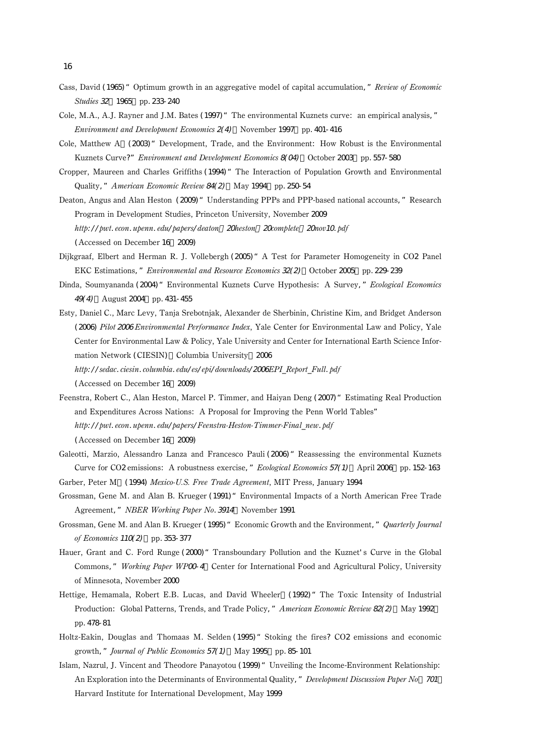- 16
- Cass, David (1965) "Optimum growth in an aggregative model of capital accumulation," Review of Economic Studies 32 1965 pp. 233-240
- Cole, M.A., A.J. Rayner and J.M. Bates (1997) "The environmental Kuznets curve: an empirical analysis," Environment and Development Economics  $2(4)$  November 1997 pp. 401-416
- Cole, Matthew A.(2003)"Development, Trade, and the Environment: How Robust is the Environmental Kuznets Curve?" Environment and Development Economics 8(04) October 2003 pp. 557-580
- Cropper, Maureen and Charles Griffiths (1994) "The Interaction of Population Growth and Environmental Quality," American Economic Review 84(2) May 1994, pp. 250-54
- Deaton, Angus and Alan Heston (2009) "Understanding PPPs and PPP-based national accounts, "Research Program in Development Studies, Princeton University, November 2009 http://pwt.econ.upenn.edu/papers/deaton 20heston 20complete 20nov10.pdf (Accessed on December 16, 2009)
- Dijkgraaf, Elbert and Herman R. J. Vollebergh (2005)"A Test for Parameter Homogeneity in CO2 Panel EKC Estimations," Environmental and Resource Economics 32(2) October 2005 pp. 229-239
- Dinda, Soumyananda (2004) "Environmental Kuznets Curve Hypothesis: A Survey, "Ecological Economics 49(4) August 2004 pp. 431-455
- Esty, Daniel C., Marc Levy, Tanja Srebotnjak, Alexander de Sherbinin, Christine Kim, and Bridget Anderson (2006) Pilot <sup>2006</sup> Environmental Performance Index, Yale Center for Environmental Law and Policy, Yale Center for Environmental Law & Policy, Yale University and Center for International Earth Science Information Network (CIESIN) Columbia University 2006 http://sedac.ciesin.columbia.edu/es/epi/downloads/2006EPI\_Report\_Full.pdf

(Accessed on December 16, 2009)

- Feenstra, Robert C., Alan Heston, Marcel P. Timmer, and Haiyan Deng (2007)"Estimating Real Production and Expenditures Across Nations: A Proposal for Improving the Penn World Tables" http://pwt.econ.upenn.edu/papers/Feenstra-Heston-Timmer-Final\_new.pdf (Accessed on December 16, 2009)
- Galeotti, Marzio, Alessandro Lanza and Francesco Pauli (2006) " Reassessing the environmental Kuznets Curve for CO2 emissions: A robustness exercise, " *Ecological Economics 57(1)* April 2006 pp. 152-163
- Garber, Peter M (1994) Mexico-U.S. Free Trade Agreement, MIT Press, January 1994
- Grossman, Gene M. and Alan B. Krueger (1991)"Environmental Impacts of a North American Free Trade Agreement," NBER Working Paper No. 3914 November 1991
- Grossman, Gene M. and Alan B. Krueger (1995) " Economic Growth and the Environment," Quarterly Journal of Economics 110(2) pp.353-377
- Hauer, Grant and C. Ford Runge (2000) "Transboundary Pollution and the Kuznet's Curve in the Global Commons," Working Paper WPOO 4 Center for International Food and Agricultural Policy, University of Minnesota, November 2000
- Hettige, Hemamala, Robert E.B. Lucas, and David Wheeler (1992) "The Toxic Intensity of Industrial Production: Global Patterns, Trends, and Trade Policy," American Economic Review 82(2) May 1992 pp.478-81
- Holtz-Eakin, Douglas and Thomaas M. Selden (1995) "Stoking the fires? CO2 emissions and economic growth," Journal of Public Economics 57(1) May 1995 pp. 85-101
- Islam, Nazrul, J. Vincent and Theodore Panayotou (1999) " Unveiling the Income-Environment Relationship: An Exploration into the Determinants of Environmental Quality," Development Discussion Paper No 701 Harvard Institute for International Development, May 1999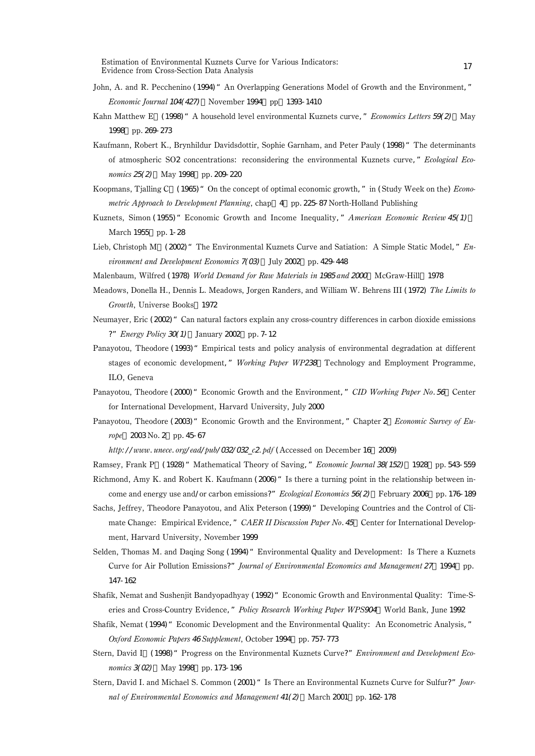Estimation of Environmental Kuznets Curve for Various Indicators: estimation of environmental Kuznets Curve for Various Indicators:<br>Evidence from Cross-Section Data Analysis

- John, A. and R. Pecchenino (1994) "An Overlapping Generations Model of Growth and the Environment," Economic Journal 104(427) November 1994 pp. 1393-1410
- Kahn Matthew E. (1998) "A household level environmental Kuznets curve, " Economics Letters 59(2) May 1998 pp. 269-273
- Kaufmann, Robert K., Brynhildur Davidsdottir, Sophie Garnham, and Peter Pauly (1998) "The determinants of atmospheric SO2 concentrations: reconsidering the environmental Kuznets curve," Ecological Economics 25(2) May 1998 pp. 209-220
- Koopmans, Tialling C. (1965) "On the concept of optimal economic growth," in (Study Week on the) *Econo*metric Approach to Development Planning, chap 4, pp. 225-87 North-Holland Publishing
- Kuznets, Simon (1955) "Economic Growth and Income Inequality," American Economic Review 45(1) March 1955 pp. 1-28
- Lieb, Christoph M. (2002) "The Environmental Kuznets Curve and Satiation: A Simple Static Model,"  $En$ vironment and Development Economics 7(03) July 2002 pp. 429-448
- Malenbaum, Wilfred (1978) World Demand for Raw Materials in 1985 and 2000 McGraw-Hill 1978
- Meadows, Donella H., Dennis L. Meadows, Jorgen Randers, and William W. Behrens III (1972) The Limits to Growth, Universe Books 1972
- Neumayer, Eric (2002) "Can natural factors explain any cross-country differences in carbon dioxide emissions ?" Energy Policy  $30(1)$  January  $2002$  pp. 7-12
- Panayotou, Theodore (1993)"Empirical tests and policy analysis of environmental degradation at different stages of economic development," Working Paper WP238 Technology and Employment Programme, ILO, Geneva
- Panayotou, Theodore (2000) "Economic Growth and the Environment, " CID Working Paper No. 56 Center for International Development, Harvard University, July 2000
- Panayotou, Theodore (2003) "Economic Growth and the Environment," Chapter 2 Economic Survey of Europe, 2003 No. 2, pp. 45-67

http://www.unece.org/ead/pub/032/032\_c2.pdf (Accessed on December 16, 2009)

Ramsey, Frank P. (1928)" Mathematical Theory of Saving," Economic Journal 38(152), 1928, pp. 543-559 Richmond, Amy K. and Robert K. Kaufmann (2006)"Is there a turning point in the relationship between in-

come and energy use and/or carbon emissions?" *Ecological Economics* 56( $\Omega$ ) February 2006, pp. 176-189

- Sachs, Jeffrey, Theodore Panayotou, and Alix Peterson (1999) " Developing Countries and the Control of Climate Change: Empirical Evidence," CAER II Discussion Paper No. 45 Center for International Development, Harvard University, November 1999
- Selden, Thomas M. and Daqing Song (1994) "Environmental Quality and Development: Is There a Kuznets Curve for Air Pollution Emissions?" Journal of Environmental Economics and Management 27 1994 pp. 147-162
- Shafik, Nemat and Sushenjit Bandyopadhyay (1992)"Economic Growth and Environmental Quality: Time-Series and Cross-Country Evidence," Policy Research Working Paper WPS904 World Bank, June 1992
- Shafik, Nemat (1994) "Economic Development and the Environmental Quality: An Econometric Analysis," Oxford Economic Papers 46 Supplement, October 1994 pp. 757-773
- Stern, David I (1998) "Progress on the Environmental Kuznets Curve?" Environment and Development Economics 3(02) May 1998 pp. 173-196
- Stern, David I. and Michael S. Common (2001) "Is There an Environmental Kuznets Curve for Sulfur?" Journal of Environmental Economics and Management 41(2) March 2001 pp. 162-178